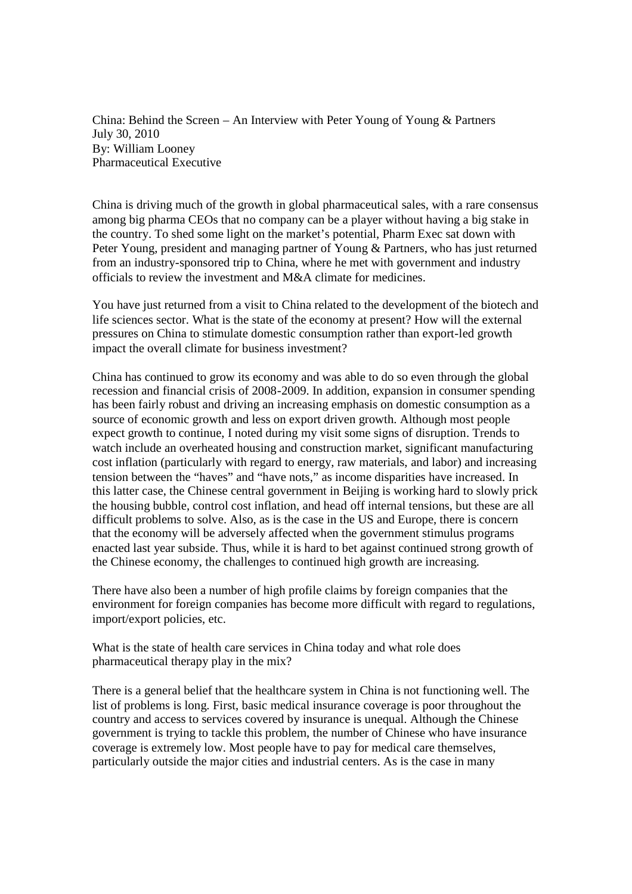China: Behind the Screen – An Interview with Peter Young of Young & Partners July 30, 2010 By: William Looney Pharmaceutical Executive

China is driving much of the growth in global pharmaceutical sales, with a rare consensus among big pharma CEOs that no company can be a player without having a big stake in the country. To shed some light on the market's potential, Pharm Exec sat down with Peter Young, president and managing partner of Young & Partners, who has just returned from an industry-sponsored trip to China, where he met with government and industry officials to review the investment and M&A climate for medicines.

You have just returned from a visit to China related to the development of the biotech and life sciences sector. What is the state of the economy at present? How will the external pressures on China to stimulate domestic consumption rather than export-led growth impact the overall climate for business investment?

China has continued to grow its economy and was able to do so even through the global recession and financial crisis of 2008-2009. In addition, expansion in consumer spending has been fairly robust and driving an increasing emphasis on domestic consumption as a source of economic growth and less on export driven growth. Although most people expect growth to continue, I noted during my visit some signs of disruption. Trends to watch include an overheated housing and construction market, significant manufacturing cost inflation (particularly with regard to energy, raw materials, and labor) and increasing tension between the "haves" and "have nots," as income disparities have increased. In this latter case, the Chinese central government in Beijing is working hard to slowly prick the housing bubble, control cost inflation, and head off internal tensions, but these are all difficult problems to solve. Also, as is the case in the US and Europe, there is concern that the economy will be adversely affected when the government stimulus programs enacted last year subside. Thus, while it is hard to bet against continued strong growth of the Chinese economy, the challenges to continued high growth are increasing.

There have also been a number of high profile claims by foreign companies that the environment for foreign companies has become more difficult with regard to regulations, import/export policies, etc.

What is the state of health care services in China today and what role does pharmaceutical therapy play in the mix?

There is a general belief that the healthcare system in China is not functioning well. The list of problems is long. First, basic medical insurance coverage is poor throughout the country and access to services covered by insurance is unequal. Although the Chinese government is trying to tackle this problem, the number of Chinese who have insurance coverage is extremely low. Most people have to pay for medical care themselves, particularly outside the major cities and industrial centers. As is the case in many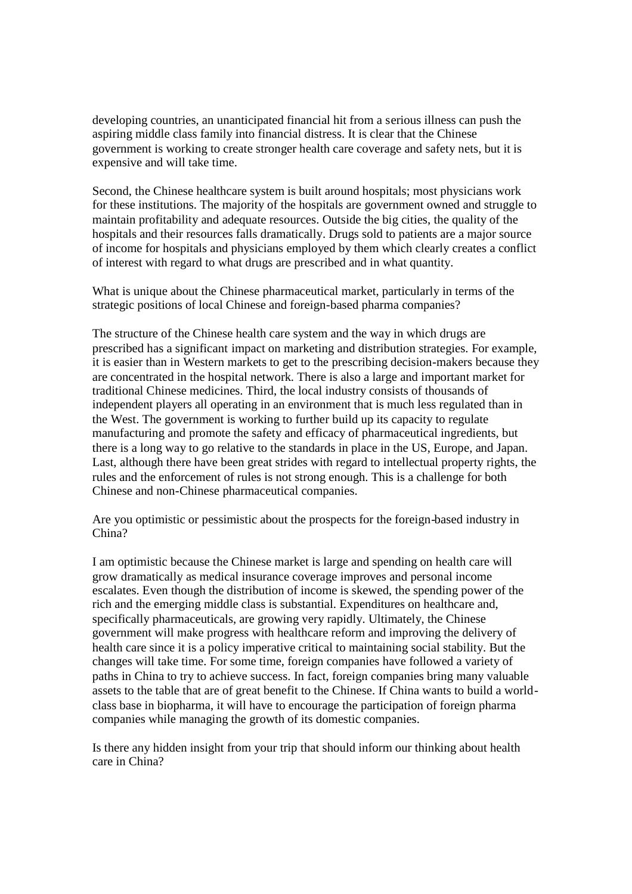developing countries, an unanticipated financial hit from a serious illness can push the aspiring middle class family into financial distress. It is clear that the Chinese government is working to create stronger health care coverage and safety nets, but it is expensive and will take time.

Second, the Chinese healthcare system is built around hospitals; most physicians work for these institutions. The majority of the hospitals are government owned and struggle to maintain profitability and adequate resources. Outside the big cities, the quality of the hospitals and their resources falls dramatically. Drugs sold to patients are a major source of income for hospitals and physicians employed by them which clearly creates a conflict of interest with regard to what drugs are prescribed and in what quantity.

What is unique about the Chinese pharmaceutical market, particularly in terms of the strategic positions of local Chinese and foreign-based pharma companies?

The structure of the Chinese health care system and the way in which drugs are prescribed has a significant impact on marketing and distribution strategies. For example, it is easier than in Western markets to get to the prescribing decision-makers because they are concentrated in the hospital network. There is also a large and important market for traditional Chinese medicines. Third, the local industry consists of thousands of independent players all operating in an environment that is much less regulated than in the West. The government is working to further build up its capacity to regulate manufacturing and promote the safety and efficacy of pharmaceutical ingredients, but there is a long way to go relative to the standards in place in the US, Europe, and Japan. Last, although there have been great strides with regard to intellectual property rights, the rules and the enforcement of rules is not strong enough. This is a challenge for both Chinese and non-Chinese pharmaceutical companies.

Are you optimistic or pessimistic about the prospects for the foreign-based industry in China?

I am optimistic because the Chinese market is large and spending on health care will grow dramatically as medical insurance coverage improves and personal income escalates. Even though the distribution of income is skewed, the spending power of the rich and the emerging middle class is substantial. Expenditures on healthcare and, specifically pharmaceuticals, are growing very rapidly. Ultimately, the Chinese government will make progress with healthcare reform and improving the delivery of health care since it is a policy imperative critical to maintaining social stability. But the changes will take time. For some time, foreign companies have followed a variety of paths in China to try to achieve success. In fact, foreign companies bring many valuable assets to the table that are of great benefit to the Chinese. If China wants to build a worldclass base in biopharma, it will have to encourage the participation of foreign pharma companies while managing the growth of its domestic companies.

Is there any hidden insight from your trip that should inform our thinking about health care in China?